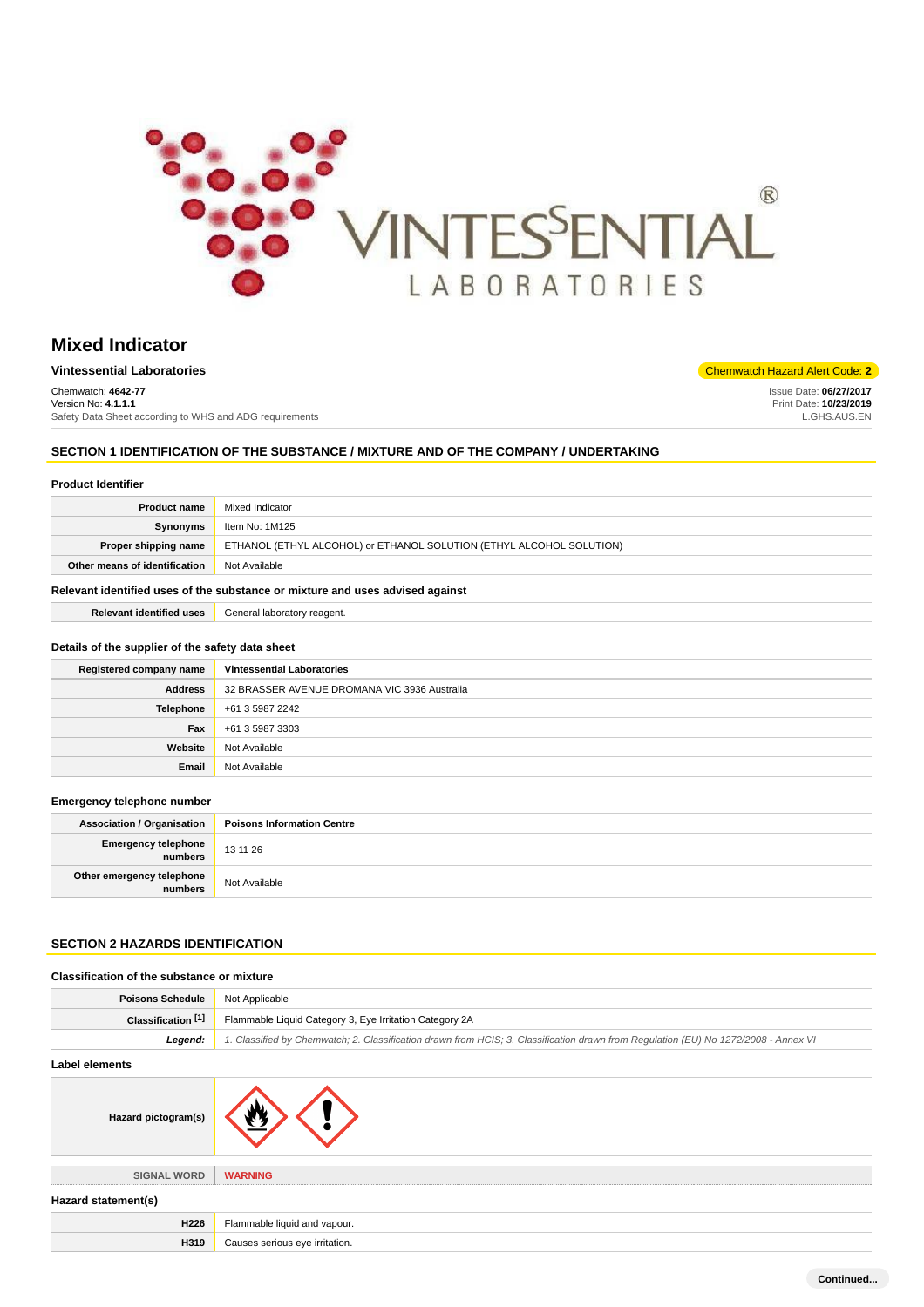

# **Mixed Indicator**

| <b>Vintessential Laboratories</b>                       | <b>Chemwatch Hazard Alert Code: 2</b> |
|---------------------------------------------------------|---------------------------------------|
| Chemwatch: 4642-77                                      | Issue Date: 06/27/2017                |
| Version No: 4.1.1.1                                     | Print Date: 10/23/2019                |
| Safety Data Sheet according to WHS and ADG requirements | L.GHS.AUS.EN                          |

# **SECTION 1 IDENTIFICATION OF THE SUBSTANCE / MIXTURE AND OF THE COMPANY / UNDERTAKING**

## **Product Identifier**

| <b>Product name</b>                                                           | Mixed Indicator                                                      |
|-------------------------------------------------------------------------------|----------------------------------------------------------------------|
| Synonyms                                                                      | Item No: 1M125                                                       |
| Proper shipping name                                                          | ETHANOL (ETHYL ALCOHOL) or ETHANOL SOLUTION (ETHYL ALCOHOL SOLUTION) |
| Other means of identification                                                 | Not Available                                                        |
| Relevant identified uses of the substance or mixture and uses advised against |                                                                      |

**Relevant identified uses** General laboratory reagent.

#### **Details of the supplier of the safety data sheet**

| Registered company name | <b>Vintessential Laboratories</b>            |
|-------------------------|----------------------------------------------|
| <b>Address</b>          | 32 BRASSER AVENUE DROMANA VIC 3936 Australia |
| <b>Telephone</b>        | +61 3 5987 2242                              |
| Fax                     | +61 3 5987 3303                              |
| Website                 | Not Available                                |
| Email                   | Not Available                                |

#### **Emergency telephone number**

| <b>Association / Organisation</b>    | <b>Poisons Information Centre</b> |
|--------------------------------------|-----------------------------------|
| Emergency telephone<br>numbers       | 13 11 26                          |
| Other emergency telephone<br>numbers | Not Available                     |

# **SECTION 2 HAZARDS IDENTIFICATION**

**H319** Causes serious eye irritation.

| Classification of the substance or mixture |                                                                                                                                     |
|--------------------------------------------|-------------------------------------------------------------------------------------------------------------------------------------|
| <b>Poisons Schedule</b>                    | Not Applicable                                                                                                                      |
| Classification [1]                         | Flammable Liquid Category 3, Eye Irritation Category 2A                                                                             |
| Legend:                                    | 1. Classified by Chemwatch; 2. Classification drawn from HCIS; 3. Classification drawn from Regulation (EU) No 1272/2008 - Annex VI |
| <b>Label elements</b>                      |                                                                                                                                     |
| Hazard pictogram(s)                        |                                                                                                                                     |
| <b>SIGNAL WORD</b>                         | <b>WARNING</b>                                                                                                                      |
| Hazard statement(s)                        |                                                                                                                                     |
| H226                                       | Flammable liquid and vapour.                                                                                                        |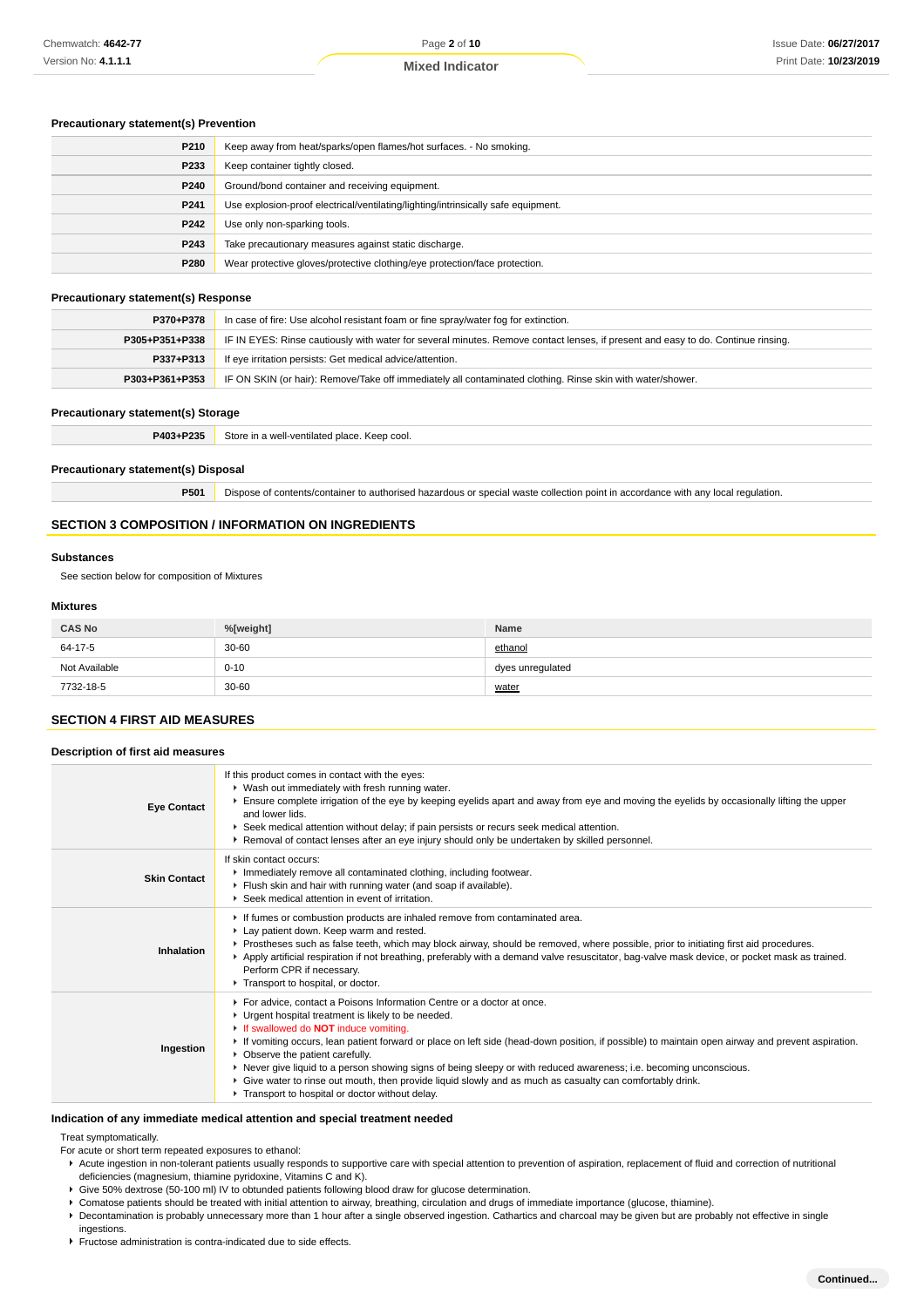## **Precautionary statement(s) Prevention**

| P210 | Keep away from heat/sparks/open flames/hot surfaces. - No smoking.                |
|------|-----------------------------------------------------------------------------------|
| P233 | Keep container tightly closed.                                                    |
| P240 | Ground/bond container and receiving equipment.                                    |
| P241 | Use explosion-proof electrical/ventilating/lighting/intrinsically safe equipment. |
| P242 | Use only non-sparking tools.                                                      |
| P243 | Take precautionary measures against static discharge.                             |
| P280 | Wear protective gloves/protective clothing/eye protection/face protection.        |

## **Precautionary statement(s) Response**

| P370+P378      | In case of fire: Use alcohol resistant foam or fine spray/water fog for extinction.                                              |
|----------------|----------------------------------------------------------------------------------------------------------------------------------|
| P305+P351+P338 | IF IN EYES: Rinse cautiously with water for several minutes. Remove contact lenses, if present and easy to do. Continue rinsing. |
| P337+P313      | If eye irritation persists: Get medical advice/attention.                                                                        |
| P303+P361+P353 | IF ON SKIN (or hair): Remove/Take off immediately all contaminated clothing. Rinse skin with water/shower.                       |

#### **Precautionary statement(s) Storage**

| P403+P235 | Store in a well-ventilated place. Keep cool. |
|-----------|----------------------------------------------|
|           |                                              |

## **Precautionary statement(s) Disposal**

**P501** Dispose of contents/container to authorised hazardous or special waste collection point in accordance with any local regulation.

# **SECTION 3 COMPOSITION / INFORMATION ON INGREDIENTS**

#### **Substances**

See section below for composition of Mixtures

# **Mixtures**

| <b>CAS No</b> | %[weight] | <b>Name</b>      |
|---------------|-----------|------------------|
| 64-17-5       | $30 - 60$ | ethanol          |
| Not Available | $0 - 10$  | dyes unregulated |
| 7732-18-5     | $30 - 60$ | water            |

#### **SECTION 4 FIRST AID MEASURES**

| Description of first aid measures |                                                                                                                                                                                                                                                                                                                                                                                                                                                                                                                                                                                                                                                            |  |
|-----------------------------------|------------------------------------------------------------------------------------------------------------------------------------------------------------------------------------------------------------------------------------------------------------------------------------------------------------------------------------------------------------------------------------------------------------------------------------------------------------------------------------------------------------------------------------------------------------------------------------------------------------------------------------------------------------|--|
| <b>Eye Contact</b>                | If this product comes in contact with the eyes:<br>▶ Wash out immediately with fresh running water.<br>Ensure complete irrigation of the eye by keeping eyelids apart and away from eye and moving the eyelids by occasionally lifting the upper<br>and lower lids.<br>▶ Seek medical attention without delay; if pain persists or recurs seek medical attention.<br>▶ Removal of contact lenses after an eye injury should only be undertaken by skilled personnel.                                                                                                                                                                                       |  |
| <b>Skin Contact</b>               | If skin contact occurs:<br>Inmediately remove all contaminated clothing, including footwear.<br>Flush skin and hair with running water (and soap if available).<br>▶ Seek medical attention in event of irritation.                                                                                                                                                                                                                                                                                                                                                                                                                                        |  |
| Inhalation                        | If fumes or combustion products are inhaled remove from contaminated area.<br>Lay patient down. Keep warm and rested.<br>▶ Prostheses such as false teeth, which may block airway, should be removed, where possible, prior to initiating first aid procedures.<br>Apply artificial respiration if not breathing, preferably with a demand valve resuscitator, bag-valve mask device, or pocket mask as trained.<br>Perform CPR if necessary.<br>Transport to hospital, or doctor.                                                                                                                                                                         |  |
| Ingestion                         | For advice, contact a Poisons Information Centre or a doctor at once.<br>• Urgent hospital treatment is likely to be needed.<br>If swallowed do <b>NOT</b> induce vomiting.<br>If vomiting occurs, lean patient forward or place on left side (head-down position, if possible) to maintain open airway and prevent aspiration.<br>• Observe the patient carefully.<br>▶ Never give liquid to a person showing signs of being sleepy or with reduced awareness; i.e. becoming unconscious.<br>• Give water to rinse out mouth, then provide liquid slowly and as much as casualty can comfortably drink.<br>Transport to hospital or doctor without delay. |  |

#### **Indication of any immediate medical attention and special treatment needed**

#### Treat symptomatically.

For acute or short term repeated exposures to ethanol:

- Acute ingestion in non-tolerant patients usually responds to supportive care with special attention to prevention of aspiration, replacement of fluid and correction of nutritional deficiencies (magnesium, thiamine pyridoxine, Vitamins C and K).
- Give 50% dextrose (50-100 ml) IV to obtunded patients following blood draw for glucose determination.
- Comatose patients should be treated with initial attention to airway, breathing, circulation and drugs of immediate importance (glucose, thiamine).
- Decontamination is probably unnecessary more than 1 hour after a single observed ingestion. Cathartics and charcoal may be given but are probably not effective in single ingestions.
- Fructose administration is contra-indicated due to side effects.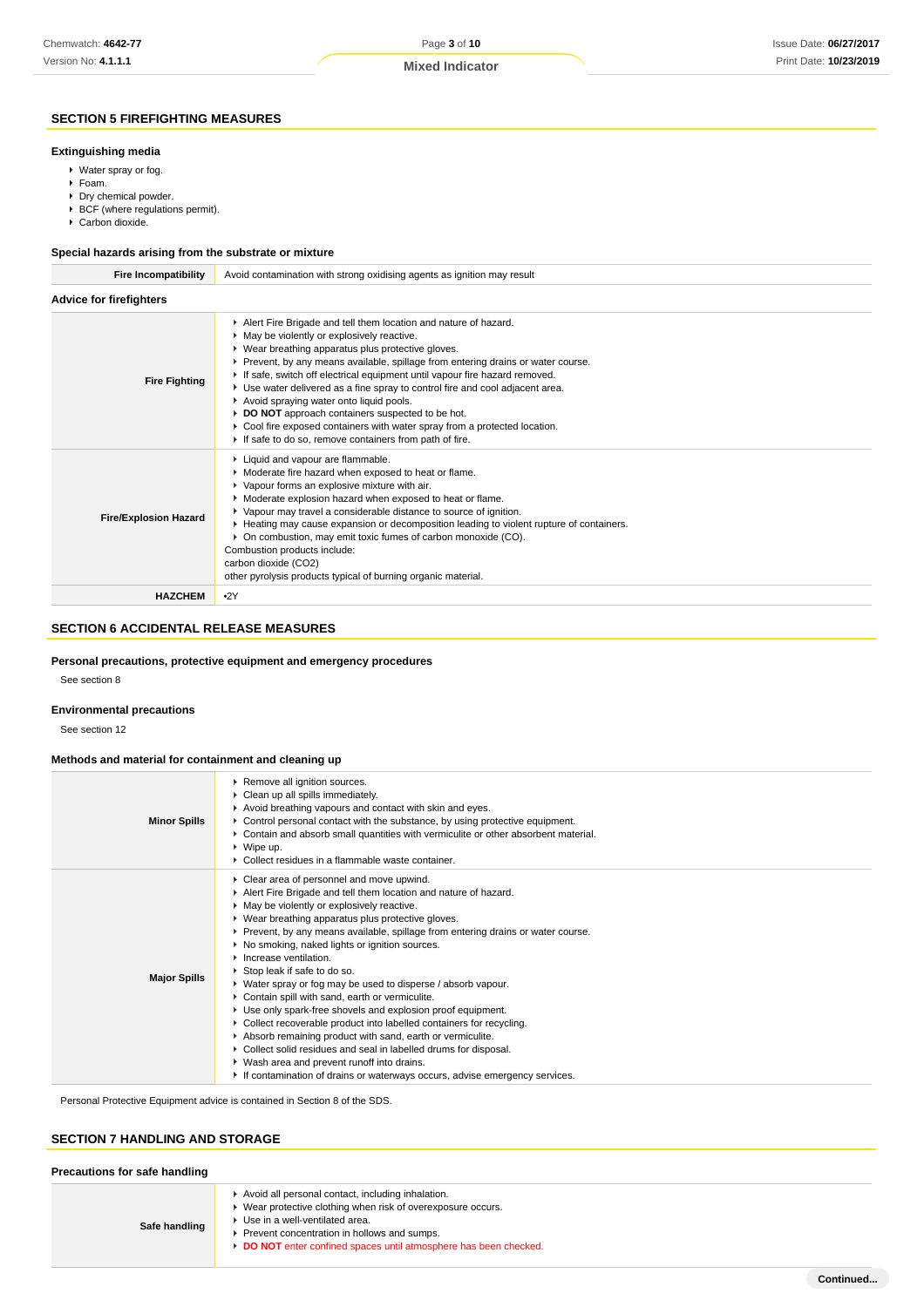# **SECTION 5 FIREFIGHTING MEASURES**

#### **Extinguishing media**

- Water spray or fog.
- Foam.
- ▶ Dry chemical powder.
- ▶ BCF (where regulations permit).
- ▶ Carbon dioxide.

#### **Special hazards arising from the substrate or mixture**

| <b>Fire Incompatibility</b>    | Avoid contamination with strong oxidising agents as ignition may result                                                                                                                                                                                                                                                                                                                                                                                                                                                                                                                                                                                    |  |  |
|--------------------------------|------------------------------------------------------------------------------------------------------------------------------------------------------------------------------------------------------------------------------------------------------------------------------------------------------------------------------------------------------------------------------------------------------------------------------------------------------------------------------------------------------------------------------------------------------------------------------------------------------------------------------------------------------------|--|--|
| <b>Advice for firefighters</b> |                                                                                                                                                                                                                                                                                                                                                                                                                                                                                                                                                                                                                                                            |  |  |
| <b>Fire Fighting</b>           | Alert Fire Brigade and tell them location and nature of hazard.<br>• May be violently or explosively reactive.<br>▶ Wear breathing apparatus plus protective gloves.<br>Prevent, by any means available, spillage from entering drains or water course.<br>If safe, switch off electrical equipment until vapour fire hazard removed.<br>► Use water delivered as a fine spray to control fire and cool adjacent area.<br>Avoid spraying water onto liquid pools.<br>DO NOT approach containers suspected to be hot.<br>Cool fire exposed containers with water spray from a protected location.<br>If safe to do so, remove containers from path of fire. |  |  |
| <b>Fire/Explosion Hazard</b>   | Liquid and vapour are flammable.<br>Moderate fire hazard when exposed to heat or flame.<br>• Vapour forms an explosive mixture with air.<br>• Moderate explosion hazard when exposed to heat or flame.<br>▶ Vapour may travel a considerable distance to source of ignition.<br>► Heating may cause expansion or decomposition leading to violent rupture of containers.<br>• On combustion, may emit toxic fumes of carbon monoxide (CO).<br>Combustion products include:<br>carbon dioxide (CO2)<br>other pyrolysis products typical of burning organic material.                                                                                        |  |  |
| <b>HAZCHEM</b>                 | •2Y                                                                                                                                                                                                                                                                                                                                                                                                                                                                                                                                                                                                                                                        |  |  |

## **SECTION 6 ACCIDENTAL RELEASE MEASURES**

#### **Personal precautions, protective equipment and emergency procedures**

See section 8

#### **Environmental precautions**

See section 12

#### **Methods and material for containment and cleaning up**

| <b>Minor Spills</b> | ▶ Remove all ignition sources.<br>• Clean up all spills immediately.<br>Avoid breathing vapours and contact with skin and eyes.<br>► Control personal contact with the substance, by using protective equipment.<br>▶ Contain and absorb small quantities with vermiculite or other absorbent material.<br>$\triangleright$ Wipe up.<br>• Collect residues in a flammable waste container.                                                                                                                                                                                                                                                                                                                                                                                                                                                                                                                                                                        |
|---------------------|-------------------------------------------------------------------------------------------------------------------------------------------------------------------------------------------------------------------------------------------------------------------------------------------------------------------------------------------------------------------------------------------------------------------------------------------------------------------------------------------------------------------------------------------------------------------------------------------------------------------------------------------------------------------------------------------------------------------------------------------------------------------------------------------------------------------------------------------------------------------------------------------------------------------------------------------------------------------|
| <b>Major Spills</b> | Clear area of personnel and move upwind.<br>Alert Fire Brigade and tell them location and nature of hazard.<br>• May be violently or explosively reactive.<br>▶ Wear breathing apparatus plus protective gloves.<br>▶ Prevent, by any means available, spillage from entering drains or water course.<br>▶ No smoking, naked lights or ignition sources.<br>$\blacktriangleright$ Increase ventilation.<br>▶ Stop leak if safe to do so.<br>▶ Water spray or fog may be used to disperse / absorb vapour.<br>Contain spill with sand, earth or vermiculite.<br>Use only spark-free shovels and explosion proof equipment.<br>• Collect recoverable product into labelled containers for recycling.<br>Absorb remaining product with sand, earth or vermiculite.<br>• Collect solid residues and seal in labelled drums for disposal.<br>▶ Wash area and prevent runoff into drains.<br>If contamination of drains or waterways occurs, advise emergency services. |

Personal Protective Equipment advice is contained in Section 8 of the SDS.

## **SECTION 7 HANDLING AND STORAGE**

| Precautions for safe handling |                                                                                                                                                                                                                                                                     |  |
|-------------------------------|---------------------------------------------------------------------------------------------------------------------------------------------------------------------------------------------------------------------------------------------------------------------|--|
| Safe handling                 | Avoid all personal contact, including inhalation.<br>Wear protective clothing when risk of overexposure occurs.<br>Use in a well-ventilated area.<br>Prevent concentration in hollows and sumps.<br>DO NOT enter confined spaces until atmosphere has been checked. |  |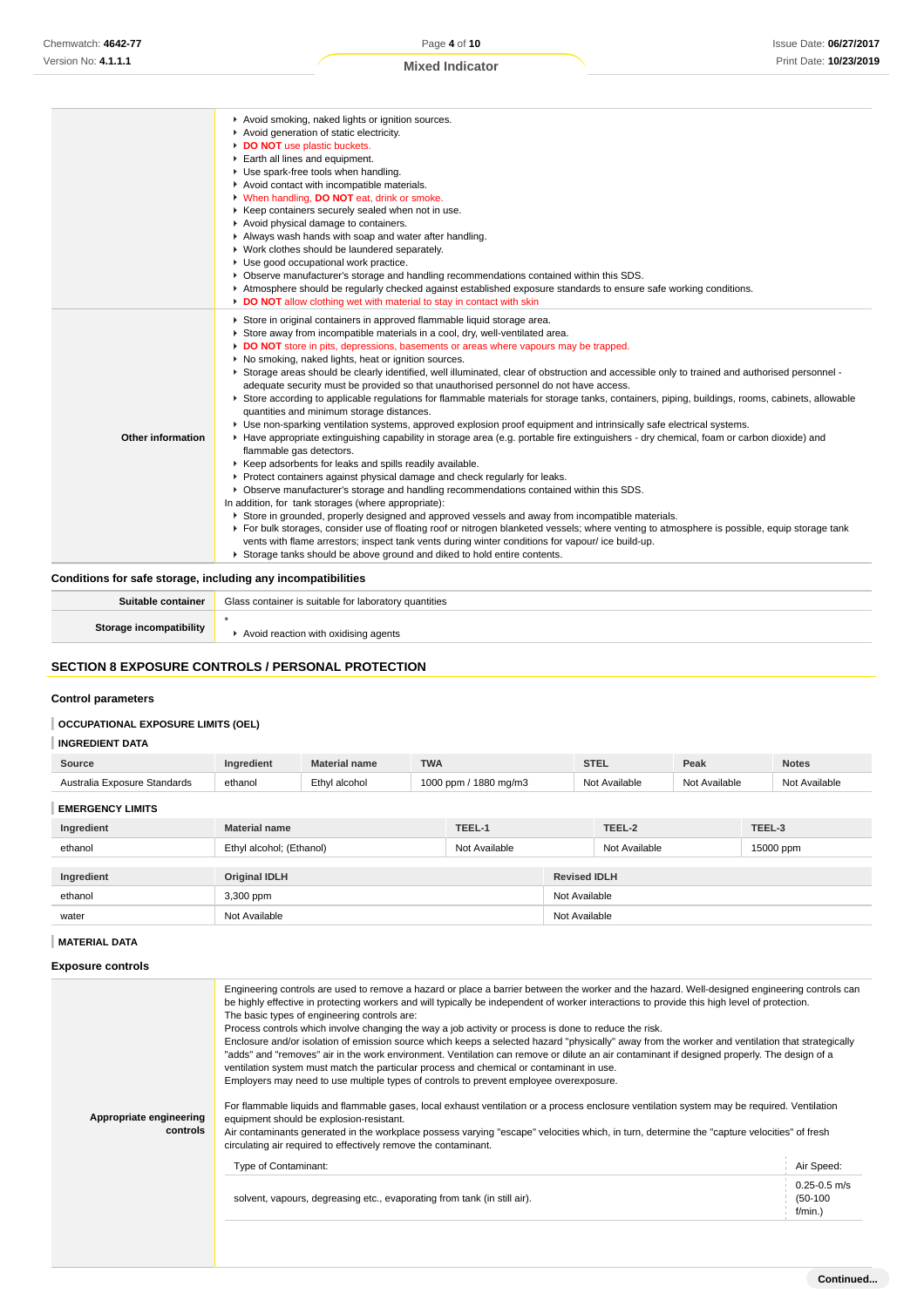| Avoid smoking, naked lights or ignition sources.                                                                                                               |  |
|----------------------------------------------------------------------------------------------------------------------------------------------------------------|--|
| Avoid generation of static electricity.                                                                                                                        |  |
| DO NOT use plastic buckets.                                                                                                                                    |  |
| Earth all lines and equipment.                                                                                                                                 |  |
| Use spark-free tools when handling.                                                                                                                            |  |
| Avoid contact with incompatible materials.                                                                                                                     |  |
| V When handling, DO NOT eat, drink or smoke.                                                                                                                   |  |
| ▶ Keep containers securely sealed when not in use.                                                                                                             |  |
| Avoid physical damage to containers.                                                                                                                           |  |
| Always wash hands with soap and water after handling.                                                                                                          |  |
| ▶ Work clothes should be laundered separately.                                                                                                                 |  |
| Use good occupational work practice.                                                                                                                           |  |
| ▶ Observe manufacturer's storage and handling recommendations contained within this SDS.                                                                       |  |
| Atmosphere should be regularly checked against established exposure standards to ensure safe working conditions.                                               |  |
| DO NOT allow clothing wet with material to stay in contact with skin                                                                                           |  |
| Store in original containers in approved flammable liquid storage area.                                                                                        |  |
| Store away from incompatible materials in a cool, dry, well-ventilated area.                                                                                   |  |
| DO NOT store in pits, depressions, basements or areas where vapours may be trapped.                                                                            |  |
| ▶ No smoking, naked lights, heat or ignition sources.                                                                                                          |  |
| ► Storage areas should be clearly identified, well illuminated, clear of obstruction and accessible only to trained and authorised personnel -                 |  |
| adequate security must be provided so that unauthorised personnel do not have access.                                                                          |  |
| ▶ Store according to applicable regulations for flammable materials for storage tanks, containers, piping, buildings, rooms, cabinets, allowable               |  |
| quantities and minimum storage distances.                                                                                                                      |  |
| ▶ Use non-sparking ventilation systems, approved explosion proof equipment and intrinsically safe electrical systems.                                          |  |
| Other information<br>► Have appropriate extinguishing capability in storage area (e.g. portable fire extinguishers - dry chemical, foam or carbon dioxide) and |  |
| flammable gas detectors.                                                                                                                                       |  |
| ▶ Keep adsorbents for leaks and spills readily available.                                                                                                      |  |
| Protect containers against physical damage and check regularly for leaks.                                                                                      |  |
| ▶ Observe manufacturer's storage and handling recommendations contained within this SDS.                                                                       |  |
| In addition, for tank storages (where appropriate):                                                                                                            |  |
| Store in grounded, properly designed and approved vessels and away from incompatible materials.                                                                |  |
| ▶ For bulk storages, consider use of floating roof or nitrogen blanketed vessels; where venting to atmosphere is possible, equip storage tank                  |  |
| vents with flame arrestors; inspect tank vents during winter conditions for vapour/ ice build-up.                                                              |  |
| Storage tanks should be above ground and diked to hold entire contents.                                                                                        |  |

**Conditions for safe storage, including any incompatibilities**

| Suitable container      | Glass container is suitable for laboratory quantities |
|-------------------------|-------------------------------------------------------|
| Storage incompatibility | I reaction with oxidising agents                      |

## **SECTION 8 EXPOSURE CONTROLS / PERSONAL PROTECTION**

# **Control parameters**

## **OCCUPATIONAL EXPOSURE LIMITS (OEL)**

| <b>INGREDIENT DATA</b> |  |
|------------------------|--|
|------------------------|--|

| <b>Source</b>                | <b>Ingredient</b> | <b>Material name</b> | <b>TWA</b>            | STEL          | Peak          | <b>Notes</b>  |
|------------------------------|-------------------|----------------------|-----------------------|---------------|---------------|---------------|
| Australia Exposure Standards | ethanol           | Ethyl alcohol        | 1000 ppm / 1880 mg/m3 | Not Available | Not Available | Not Available |
|                              |                   |                      |                       |               |               |               |

# **EMERGENCY LIMITS**

| Ingredient | <b>Material name</b>                      | TEEL-1 |               | TEEL-2              | TEEL-3    |  |
|------------|-------------------------------------------|--------|---------------|---------------------|-----------|--|
| ethanol    | Ethyl alcohol; (Ethanol)<br>Not Available |        |               | Not Available       | 15000 ppm |  |
|            |                                           |        |               |                     |           |  |
| Ingredient | <b>Original IDLH</b>                      |        |               | <b>Revised IDLH</b> |           |  |
| ethanol    | 3,300 ppm                                 |        | Not Available |                     |           |  |
| water      | Not Available                             |        | Not Available |                     |           |  |

## **MATERIAL DATA**

#### **Exposure controls**

| Appropriate engineering<br>controls | Engineering controls are used to remove a hazard or place a barrier between the worker and the hazard. Well-designed engineering controls can<br>be highly effective in protecting workers and will typically be independent of worker interactions to provide this high level of protection.<br>The basic types of engineering controls are:<br>Process controls which involve changing the way a job activity or process is done to reduce the risk.<br>Enclosure and/or isolation of emission source which keeps a selected hazard "physically" away from the worker and ventilation that strategically<br>"adds" and "removes" air in the work environment. Ventilation can remove or dilute an air contaminant if designed properly. The design of a<br>ventilation system must match the particular process and chemical or contaminant in use.<br>Employers may need to use multiple types of controls to prevent employee overexposure.<br>For flammable liquids and flammable gases, local exhaust ventilation or a process enclosure ventilation system may be required. Ventilation<br>equipment should be explosion-resistant.<br>Air contaminants generated in the workplace possess varying "escape" velocities which, in turn, determine the "capture velocities" of fresh<br>circulating air required to effectively remove the contaminant. |                                              |
|-------------------------------------|--------------------------------------------------------------------------------------------------------------------------------------------------------------------------------------------------------------------------------------------------------------------------------------------------------------------------------------------------------------------------------------------------------------------------------------------------------------------------------------------------------------------------------------------------------------------------------------------------------------------------------------------------------------------------------------------------------------------------------------------------------------------------------------------------------------------------------------------------------------------------------------------------------------------------------------------------------------------------------------------------------------------------------------------------------------------------------------------------------------------------------------------------------------------------------------------------------------------------------------------------------------------------------------------------------------------------------------------------------------|----------------------------------------------|
|                                     | Type of Contaminant:                                                                                                                                                                                                                                                                                                                                                                                                                                                                                                                                                                                                                                                                                                                                                                                                                                                                                                                                                                                                                                                                                                                                                                                                                                                                                                                                         | Air Speed:                                   |
|                                     | solvent, vapours, degreasing etc., evaporating from tank (in still air).                                                                                                                                                                                                                                                                                                                                                                                                                                                                                                                                                                                                                                                                                                                                                                                                                                                                                                                                                                                                                                                                                                                                                                                                                                                                                     | $0.25 - 0.5$ m/s<br>$(50-100)$<br>$f/min.$ ) |
|                                     |                                                                                                                                                                                                                                                                                                                                                                                                                                                                                                                                                                                                                                                                                                                                                                                                                                                                                                                                                                                                                                                                                                                                                                                                                                                                                                                                                              |                                              |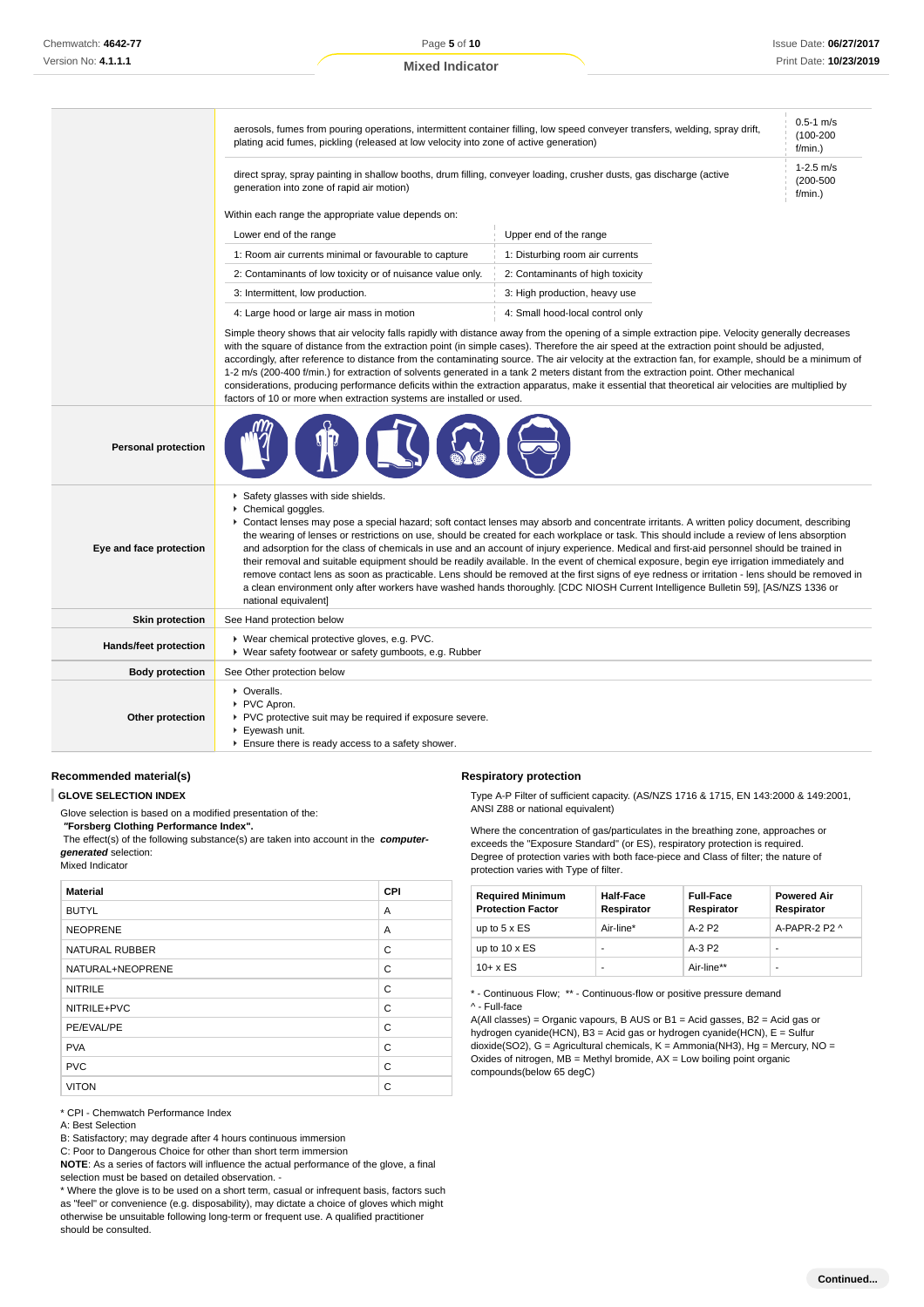|                            | $0.5 - 1$ m/s<br>aerosols, fumes from pouring operations, intermittent container filling, low speed conveyer transfers, welding, spray drift,<br>$(100 - 200)$<br>plating acid fumes, pickling (released at low velocity into zone of active generation)<br>f/min.)                                                                                                                                                                                                                                                                                                                                                                                                                                                                                                                                                             |                                                                                                                                                                                                                                                                                                                                                                                                                                                                                                                                                                                                                                                                                                                                                                                                                                                                             |  |  |  |
|----------------------------|---------------------------------------------------------------------------------------------------------------------------------------------------------------------------------------------------------------------------------------------------------------------------------------------------------------------------------------------------------------------------------------------------------------------------------------------------------------------------------------------------------------------------------------------------------------------------------------------------------------------------------------------------------------------------------------------------------------------------------------------------------------------------------------------------------------------------------|-----------------------------------------------------------------------------------------------------------------------------------------------------------------------------------------------------------------------------------------------------------------------------------------------------------------------------------------------------------------------------------------------------------------------------------------------------------------------------------------------------------------------------------------------------------------------------------------------------------------------------------------------------------------------------------------------------------------------------------------------------------------------------------------------------------------------------------------------------------------------------|--|--|--|
|                            | direct spray, spray painting in shallow booths, drum filling, conveyer loading, crusher dusts, gas discharge (active<br>generation into zone of rapid air motion)                                                                                                                                                                                                                                                                                                                                                                                                                                                                                                                                                                                                                                                               |                                                                                                                                                                                                                                                                                                                                                                                                                                                                                                                                                                                                                                                                                                                                                                                                                                                                             |  |  |  |
|                            | Within each range the appropriate value depends on:                                                                                                                                                                                                                                                                                                                                                                                                                                                                                                                                                                                                                                                                                                                                                                             |                                                                                                                                                                                                                                                                                                                                                                                                                                                                                                                                                                                                                                                                                                                                                                                                                                                                             |  |  |  |
|                            | Upper end of the range<br>Lower end of the range<br>1: Room air currents minimal or favourable to capture<br>1: Disturbing room air currents                                                                                                                                                                                                                                                                                                                                                                                                                                                                                                                                                                                                                                                                                    |                                                                                                                                                                                                                                                                                                                                                                                                                                                                                                                                                                                                                                                                                                                                                                                                                                                                             |  |  |  |
|                            |                                                                                                                                                                                                                                                                                                                                                                                                                                                                                                                                                                                                                                                                                                                                                                                                                                 |                                                                                                                                                                                                                                                                                                                                                                                                                                                                                                                                                                                                                                                                                                                                                                                                                                                                             |  |  |  |
|                            | 2: Contaminants of low toxicity or of nuisance value only.                                                                                                                                                                                                                                                                                                                                                                                                                                                                                                                                                                                                                                                                                                                                                                      | 2: Contaminants of high toxicity                                                                                                                                                                                                                                                                                                                                                                                                                                                                                                                                                                                                                                                                                                                                                                                                                                            |  |  |  |
|                            | 3: Intermittent, low production.                                                                                                                                                                                                                                                                                                                                                                                                                                                                                                                                                                                                                                                                                                                                                                                                | 3: High production, heavy use                                                                                                                                                                                                                                                                                                                                                                                                                                                                                                                                                                                                                                                                                                                                                                                                                                               |  |  |  |
|                            | 4: Large hood or large air mass in motion                                                                                                                                                                                                                                                                                                                                                                                                                                                                                                                                                                                                                                                                                                                                                                                       | 4: Small hood-local control only                                                                                                                                                                                                                                                                                                                                                                                                                                                                                                                                                                                                                                                                                                                                                                                                                                            |  |  |  |
|                            | Simple theory shows that air velocity falls rapidly with distance away from the opening of a simple extraction pipe. Velocity generally decreases<br>with the square of distance from the extraction point (in simple cases). Therefore the air speed at the extraction point should be adjusted,<br>accordingly, after reference to distance from the contaminating source. The air velocity at the extraction fan, for example, should be a minimum of<br>1-2 m/s (200-400 f/min.) for extraction of solvents generated in a tank 2 meters distant from the extraction point. Other mechanical<br>considerations, producing performance deficits within the extraction apparatus, make it essential that theoretical air velocities are multiplied by<br>factors of 10 or more when extraction systems are installed or used. |                                                                                                                                                                                                                                                                                                                                                                                                                                                                                                                                                                                                                                                                                                                                                                                                                                                                             |  |  |  |
| <b>Personal protection</b> |                                                                                                                                                                                                                                                                                                                                                                                                                                                                                                                                                                                                                                                                                                                                                                                                                                 |                                                                                                                                                                                                                                                                                                                                                                                                                                                                                                                                                                                                                                                                                                                                                                                                                                                                             |  |  |  |
| Eye and face protection    | Safety glasses with side shields.<br>▶ Chemical goggles.<br>national equivalent]                                                                                                                                                                                                                                                                                                                                                                                                                                                                                                                                                                                                                                                                                                                                                | Contact lenses may pose a special hazard; soft contact lenses may absorb and concentrate irritants. A written policy document, describing<br>the wearing of lenses or restrictions on use, should be created for each workplace or task. This should include a review of lens absorption<br>and adsorption for the class of chemicals in use and an account of injury experience. Medical and first-aid personnel should be trained in<br>their removal and suitable equipment should be readily available. In the event of chemical exposure, begin eye irrigation immediately and<br>remove contact lens as soon as practicable. Lens should be removed at the first signs of eye redness or irritation - lens should be removed in<br>a clean environment only after workers have washed hands thoroughly. [CDC NIOSH Current Intelligence Bulletin 59], [AS/NZS 1336 or |  |  |  |
| <b>Skin protection</b>     | See Hand protection below                                                                                                                                                                                                                                                                                                                                                                                                                                                                                                                                                                                                                                                                                                                                                                                                       |                                                                                                                                                                                                                                                                                                                                                                                                                                                                                                                                                                                                                                                                                                                                                                                                                                                                             |  |  |  |
| Hands/feet protection      | ▶ Wear chemical protective gloves, e.g. PVC.<br>▶ Wear safety footwear or safety gumboots, e.g. Rubber                                                                                                                                                                                                                                                                                                                                                                                                                                                                                                                                                                                                                                                                                                                          |                                                                                                                                                                                                                                                                                                                                                                                                                                                                                                                                                                                                                                                                                                                                                                                                                                                                             |  |  |  |
| <b>Body protection</b>     | See Other protection below                                                                                                                                                                                                                                                                                                                                                                                                                                                                                                                                                                                                                                                                                                                                                                                                      |                                                                                                                                                                                                                                                                                                                                                                                                                                                                                                                                                                                                                                                                                                                                                                                                                                                                             |  |  |  |
| Other protection           | • Overalls.<br>PVC Apron.<br>▶ PVC protective suit may be required if exposure severe.<br>Eyewash unit.<br>Ensure there is ready access to a safety shower.                                                                                                                                                                                                                                                                                                                                                                                                                                                                                                                                                                                                                                                                     |                                                                                                                                                                                                                                                                                                                                                                                                                                                                                                                                                                                                                                                                                                                                                                                                                                                                             |  |  |  |

## **Recommended material(s)**

**GLOVE SELECTION INDEX**

Glove selection is based on a modified presentation of the:

 **"Forsberg Clothing Performance Index".**

 The effect(s) of the following substance(s) are taken into account in the **computergenerated** selection:

Mixed Indicator

| <b>Material</b>       | <b>CPI</b> |
|-----------------------|------------|
| <b>BUTYL</b>          | A          |
| <b>NEOPRENE</b>       | A          |
| <b>NATURAL RUBBER</b> | C          |
| NATURAL+NEOPRENE      | C          |
| <b>NITRILE</b>        | C          |
| NITRILE+PVC           | C          |
| PE/EVAL/PE            | C          |
| <b>PVA</b>            | C          |
| <b>PVC</b>            | C          |
| <b>VITON</b>          | C          |

\* CPI - Chemwatch Performance Index

A: Best Selection

B: Satisfactory; may degrade after 4 hours continuous immersion

C: Poor to Dangerous Choice for other than short term immersion

**NOTE**: As a series of factors will influence the actual performance of the glove, a final selection must be based on detailed observation. -

\* Where the glove is to be used on a short term, casual or infrequent basis, factors such as "feel" or convenience (e.g. disposability), may dictate a choice of gloves which might otherwise be unsuitable following long-term or frequent use. A qualified practitioner should be consulted.

#### **Respiratory protection**

Type A-P Filter of sufficient capacity. (AS/NZS 1716 & 1715, EN 143:2000 & 149:2001, ANSI Z88 or national equivalent)

Where the concentration of gas/particulates in the breathing zone, approaches or exceeds the "Exposure Standard" (or ES), respiratory protection is required. Degree of protection varies with both face-piece and Class of filter; the nature of protection varies with Type of filter.

| <b>Required Minimum</b><br><b>Protection Factor</b> | <b>Half-Face</b><br>Respirator | <b>Full-Face</b><br>Respirator | <b>Powered Air</b><br>Respirator |
|-----------------------------------------------------|--------------------------------|--------------------------------|----------------------------------|
| up to $5 \times ES$                                 | Air-line*                      | A-2 P2                         | A-PAPR-2 P2 ^                    |
| up to $10 \times ES$                                |                                | $A-3P2$                        | -                                |
| $10+ x ES$                                          | ۰                              | Air-line**                     | -                                |

\* - Continuous Flow; \*\* - Continuous-flow or positive pressure demand ^ - Full-face

A(All classes) = Organic vapours, B AUS or B1 = Acid gasses, B2 = Acid gas or hydrogen cyanide(HCN), B3 = Acid gas or hydrogen cyanide(HCN), E = Sulfur dioxide(SO2), G = Agricultural chemicals, K = Ammonia(NH3), Hg = Mercury, NO = Oxides of nitrogen,  $MB =$  Methyl bromide,  $AX =$  Low boiling point organic compounds(below 65 degC)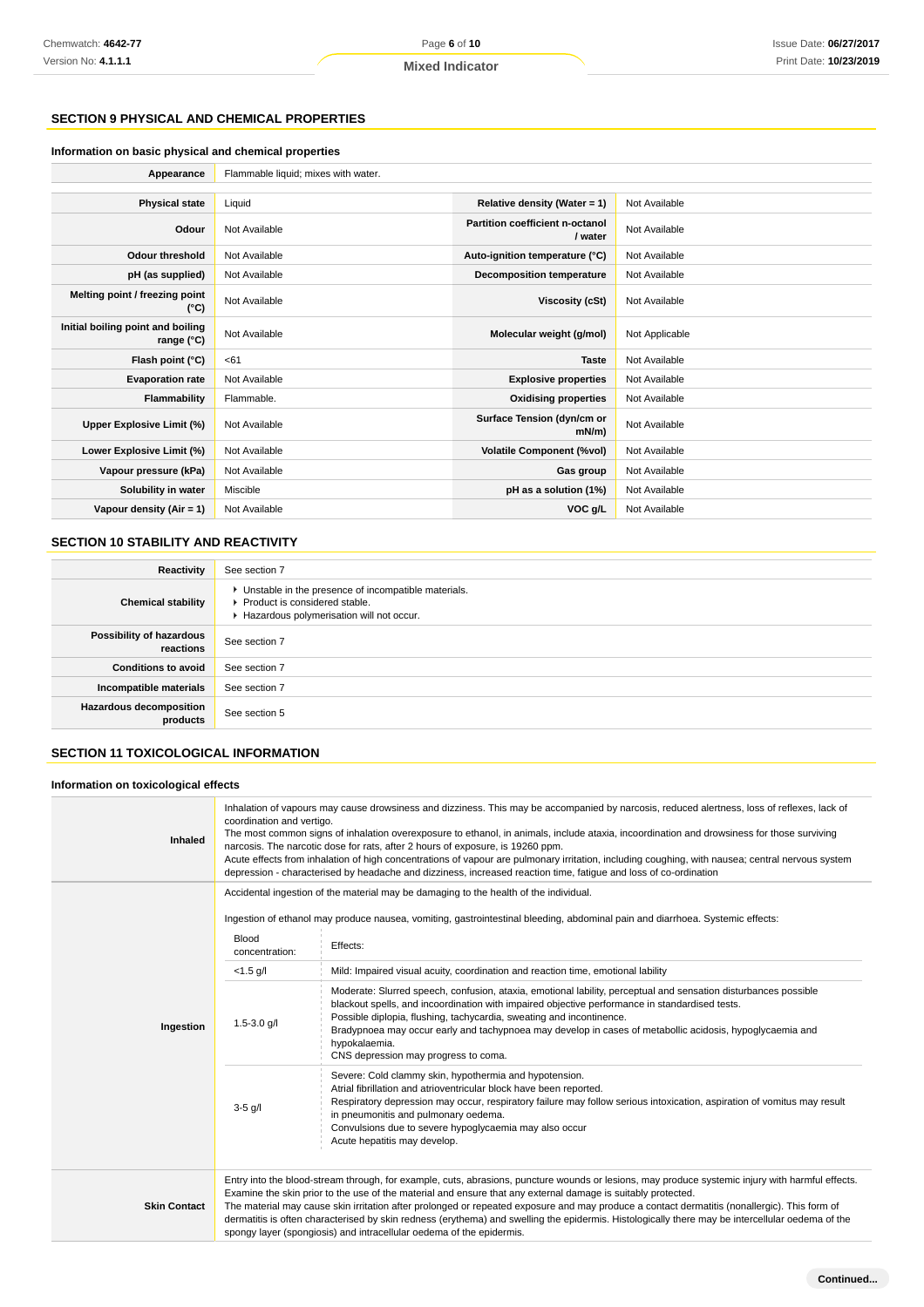## **SECTION 9 PHYSICAL AND CHEMICAL PROPERTIES**

#### **Information on basic physical and chemical properties**

| Appearance                                      | Flammable liquid; mixes with water. |                                            |                |
|-------------------------------------------------|-------------------------------------|--------------------------------------------|----------------|
|                                                 |                                     |                                            |                |
| <b>Physical state</b>                           | Liquid                              | Relative density (Water = $1$ )            | Not Available  |
| Odour                                           | Not Available                       | Partition coefficient n-octanol<br>/ water | Not Available  |
| <b>Odour threshold</b>                          | Not Available                       | Auto-ignition temperature (°C)             | Not Available  |
| pH (as supplied)                                | Not Available                       | Decomposition temperature                  | Not Available  |
| Melting point / freezing point<br>$(^{\circ}C)$ | Not Available                       | Viscosity (cSt)                            | Not Available  |
| Initial boiling point and boiling<br>range (°C) | Not Available                       | Molecular weight (g/mol)                   | Not Applicable |
| Flash point (°C)                                | <61                                 | <b>Taste</b>                               | Not Available  |
| <b>Evaporation rate</b>                         | Not Available                       | <b>Explosive properties</b>                | Not Available  |
| Flammability                                    | Flammable.                          | <b>Oxidising properties</b>                | Not Available  |
| Upper Explosive Limit (%)                       | Not Available                       | Surface Tension (dyn/cm or<br>$mN/m$ )     | Not Available  |
| Lower Explosive Limit (%)                       | Not Available                       | <b>Volatile Component (%vol)</b>           | Not Available  |
| Vapour pressure (kPa)                           | Not Available                       | Gas group                                  | Not Available  |
| Solubility in water                             | Miscible                            | pH as a solution (1%)                      | Not Available  |
| Vapour density $(Air = 1)$                      | Not Available                       | VOC g/L                                    | Not Available  |

# **SECTION 10 STABILITY AND REACTIVITY**

| Reactivity                                 | See section 7                                                                                                                        |
|--------------------------------------------|--------------------------------------------------------------------------------------------------------------------------------------|
| <b>Chemical stability</b>                  | • Unstable in the presence of incompatible materials.<br>▶ Product is considered stable.<br>Hazardous polymerisation will not occur. |
| Possibility of hazardous<br>reactions      | See section 7                                                                                                                        |
| <b>Conditions to avoid</b>                 | See section 7                                                                                                                        |
| Incompatible materials                     | See section 7                                                                                                                        |
| <b>Hazardous decomposition</b><br>products | See section 5                                                                                                                        |

## **SECTION 11 TOXICOLOGICAL INFORMATION**

## **Information on toxicological effects**

| Inhaled             | Inhalation of vapours may cause drowsiness and dizziness. This may be accompanied by narcosis, reduced alertness, loss of reflexes, lack of<br>coordination and vertigo.<br>The most common signs of inhalation overexposure to ethanol, in animals, include ataxia, incoordination and drowsiness for those surviving<br>narcosis. The narcotic dose for rats, after 2 hours of exposure, is 19260 ppm.<br>Acute effects from inhalation of high concentrations of vapour are pulmonary irritation, including coughing, with nausea; central nervous system<br>depression - characterised by headache and dizziness, increased reaction time, fatique and loss of co-ordination |                                                                                                                                                                                                                                                                                                                                                                                                                                                                |  |
|---------------------|----------------------------------------------------------------------------------------------------------------------------------------------------------------------------------------------------------------------------------------------------------------------------------------------------------------------------------------------------------------------------------------------------------------------------------------------------------------------------------------------------------------------------------------------------------------------------------------------------------------------------------------------------------------------------------|----------------------------------------------------------------------------------------------------------------------------------------------------------------------------------------------------------------------------------------------------------------------------------------------------------------------------------------------------------------------------------------------------------------------------------------------------------------|--|
|                     | Accidental ingestion of the material may be damaging to the health of the individual.                                                                                                                                                                                                                                                                                                                                                                                                                                                                                                                                                                                            |                                                                                                                                                                                                                                                                                                                                                                                                                                                                |  |
|                     |                                                                                                                                                                                                                                                                                                                                                                                                                                                                                                                                                                                                                                                                                  | Ingestion of ethanol may produce nausea, vomiting, gastrointestinal bleeding, abdominal pain and diarrhoea. Systemic effects:                                                                                                                                                                                                                                                                                                                                  |  |
|                     | Blood<br>concentration:                                                                                                                                                                                                                                                                                                                                                                                                                                                                                                                                                                                                                                                          | Effects:                                                                                                                                                                                                                                                                                                                                                                                                                                                       |  |
|                     | $<$ 1.5 g/l                                                                                                                                                                                                                                                                                                                                                                                                                                                                                                                                                                                                                                                                      | Mild: Impaired visual acuity, coordination and reaction time, emotional lability                                                                                                                                                                                                                                                                                                                                                                               |  |
| Ingestion           | $1.5 - 3.0$ g/l                                                                                                                                                                                                                                                                                                                                                                                                                                                                                                                                                                                                                                                                  | Moderate: Slurred speech, confusion, ataxia, emotional lability, perceptual and sensation disturbances possible<br>blackout spells, and incoordination with impaired objective performance in standardised tests.<br>Possible diplopia, flushing, tachycardia, sweating and incontinence.<br>Bradypnoea may occur early and tachypnoea may develop in cases of metabollic acidosis, hypoglycaemia and<br>hypokalaemia.<br>CNS depression may progress to coma. |  |
|                     | $3-5$ g/l                                                                                                                                                                                                                                                                                                                                                                                                                                                                                                                                                                                                                                                                        | Severe: Cold clammy skin, hypothermia and hypotension.<br>Atrial fibrillation and atrioventricular block have been reported.<br>Respiratory depression may occur, respiratory failure may follow serious intoxication, aspiration of vomitus may result<br>in pneumonitis and pulmonary oedema.<br>Convulsions due to severe hypoglycaemia may also occur<br>Acute hepatitis may develop.                                                                      |  |
| <b>Skin Contact</b> | Entry into the blood-stream through, for example, cuts, abrasions, puncture wounds or lesions, may produce systemic injury with harmful effects.<br>Examine the skin prior to the use of the material and ensure that any external damage is suitably protected.<br>The material may cause skin irritation after prolonged or repeated exposure and may produce a contact dermatitis (nonallergic). This form of<br>dermatitis is often characterised by skin redness (erythema) and swelling the epidermis. Histologically there may be intercellular oedema of the<br>spongy layer (spongiosis) and intracellular oedema of the epidermis.                                     |                                                                                                                                                                                                                                                                                                                                                                                                                                                                |  |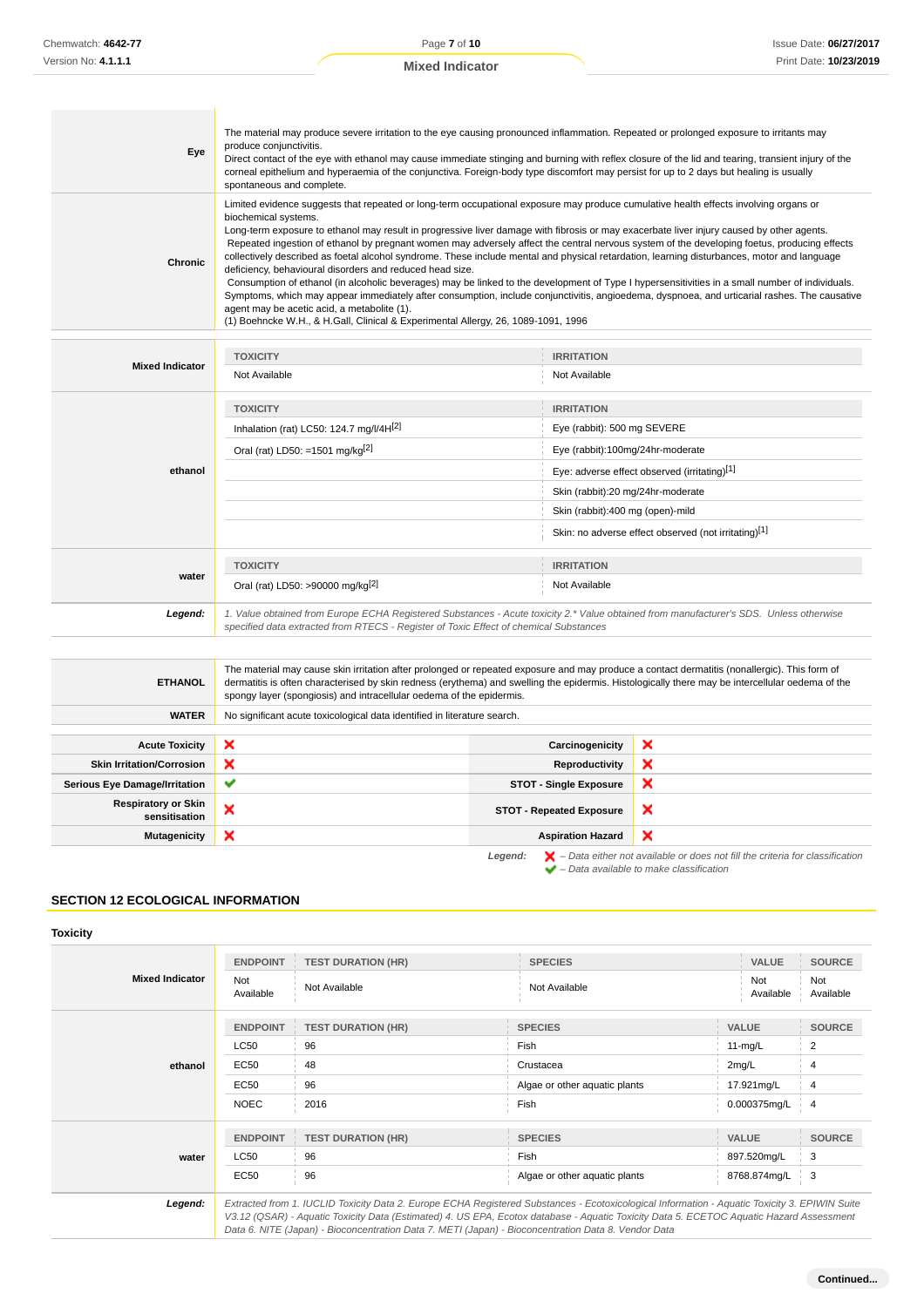**Mixed Indicator**

| Eye     | The material may produce severe irritation to the eye causing pronounced inflammation. Repeated or prolonged exposure to irritants may<br>produce conjunctivitis.<br>Direct contact of the eye with ethanol may cause immediate stinging and burning with reflex closure of the lid and tearing, transient injury of the<br>corneal epithelium and hyperaemia of the conjunctiva. Foreign-body type discomfort may persist for up to 2 days but healing is usually<br>spontaneous and complete.                                                                                                                                                                                                                                                                                                                                                                                                                                                                                                                                                                                                            |
|---------|------------------------------------------------------------------------------------------------------------------------------------------------------------------------------------------------------------------------------------------------------------------------------------------------------------------------------------------------------------------------------------------------------------------------------------------------------------------------------------------------------------------------------------------------------------------------------------------------------------------------------------------------------------------------------------------------------------------------------------------------------------------------------------------------------------------------------------------------------------------------------------------------------------------------------------------------------------------------------------------------------------------------------------------------------------------------------------------------------------|
| Chronic | Limited evidence suggests that repeated or long-term occupational exposure may produce cumulative health effects involving organs or<br>biochemical systems.<br>Long-term exposure to ethanol may result in progressive liver damage with fibrosis or may exacerbate liver injury caused by other agents.<br>Repeated ingestion of ethanol by pregnant women may adversely affect the central nervous system of the developing foetus, producing effects<br>collectively described as foetal alcohol syndrome. These include mental and physical retardation, learning disturbances, motor and language<br>deficiency, behavioural disorders and reduced head size.<br>Consumption of ethanol (in alcoholic beverages) may be linked to the development of Type I hypersensitivities in a small number of individuals.<br>Symptoms, which may appear immediately after consumption, include conjunctivitis, angioedema, dyspnoea, and urticarial rashes. The causative<br>agent may be acetic acid, a metabolite (1).<br>(1) Boehncke W.H., & H.Gall, Clinical & Experimental Allergy, 26, 1089-1091, 1996 |
|         |                                                                                                                                                                                                                                                                                                                                                                                                                                                                                                                                                                                                                                                                                                                                                                                                                                                                                                                                                                                                                                                                                                            |

|                        | <b>TOXICITY</b>                                                                                                                                                                                                                 | <b>IRRITATION</b>                                    |  |
|------------------------|---------------------------------------------------------------------------------------------------------------------------------------------------------------------------------------------------------------------------------|------------------------------------------------------|--|
| <b>Mixed Indicator</b> | Not Available                                                                                                                                                                                                                   | Not Available                                        |  |
|                        | <b>TOXICITY</b><br>Inhalation (rat) LC50: 124.7 mg/l/4H[2]                                                                                                                                                                      | <b>IRRITATION</b><br>Eye (rabbit): 500 mg SEVERE     |  |
|                        | Oral (rat) LD50: =1501 mg/kg[2]                                                                                                                                                                                                 | Eye (rabbit):100mg/24hr-moderate                     |  |
| ethanol                |                                                                                                                                                                                                                                 | Eye: adverse effect observed (irritating)[1]         |  |
|                        |                                                                                                                                                                                                                                 | Skin (rabbit):20 mg/24hr-moderate                    |  |
|                        |                                                                                                                                                                                                                                 | Skin (rabbit):400 mg (open)-mild                     |  |
|                        |                                                                                                                                                                                                                                 | Skin: no adverse effect observed (not irritating)[1] |  |
| water                  | <b>TOXICITY</b>                                                                                                                                                                                                                 | <b>IRRITATION</b>                                    |  |
|                        | Oral (rat) LD50: >90000 mg/kg <sup>[2]</sup>                                                                                                                                                                                    | Not Available                                        |  |
| Legend:                | 1. Value obtained from Europe ECHA Registered Substances - Acute toxicity 2.* Value obtained from manufacturer's SDS. Unless otherwise<br>specified data extracted from RTECS - Register of Toxic Effect of chemical Substances |                                                      |  |

| <b>ETHANOL</b>                              | The material may cause skin irritation after prolonged or repeated exposure and may produce a contact dermatitis (nonallergic). This form of<br>dermatitis is often characterised by skin redness (erythema) and swelling the epidermis. Histologically there may be intercellular oedema of the<br>spongy layer (spongiosis) and intracellular oedema of the epidermis. |                                 |                                                                                                                                                                     |  |
|---------------------------------------------|--------------------------------------------------------------------------------------------------------------------------------------------------------------------------------------------------------------------------------------------------------------------------------------------------------------------------------------------------------------------------|---------------------------------|---------------------------------------------------------------------------------------------------------------------------------------------------------------------|--|
| <b>WATER</b>                                | No significant acute toxicological data identified in literature search.                                                                                                                                                                                                                                                                                                 |                                 |                                                                                                                                                                     |  |
|                                             |                                                                                                                                                                                                                                                                                                                                                                          |                                 |                                                                                                                                                                     |  |
| <b>Acute Toxicity</b>                       | ×                                                                                                                                                                                                                                                                                                                                                                        | Carcinogenicity                 | ×                                                                                                                                                                   |  |
| <b>Skin Irritation/Corrosion</b>            | ×                                                                                                                                                                                                                                                                                                                                                                        | Reproductivity                  | ×                                                                                                                                                                   |  |
| <b>Serious Eye Damage/Irritation</b>        | ✔                                                                                                                                                                                                                                                                                                                                                                        | <b>STOT - Single Exposure</b>   | ×                                                                                                                                                                   |  |
| <b>Respiratory or Skin</b><br>sensitisation | ×                                                                                                                                                                                                                                                                                                                                                                        | <b>STOT - Repeated Exposure</b> | ×                                                                                                                                                                   |  |
| <b>Mutagenicity</b>                         | ×                                                                                                                                                                                                                                                                                                                                                                        | <b>Aspiration Hazard</b>        | ×                                                                                                                                                                   |  |
|                                             |                                                                                                                                                                                                                                                                                                                                                                          | Legend:                         | $\blacktriangleright$ - Data either not available or does not fill the criteria for classification<br>$\blacktriangleright$ - Data available to make classification |  |

## **SECTION 12 ECOLOGICAL INFORMATION**

#### **Toxicity**

| <b>Mixed Indicator</b> | <b>ENDPOINT</b>         | <b>TEST DURATION (HR)</b> | <b>SPECIES</b>                                                                                                                              | VALUE            | <b>SOURCE</b>    |
|------------------------|-------------------------|---------------------------|---------------------------------------------------------------------------------------------------------------------------------------------|------------------|------------------|
|                        | <b>Not</b><br>Available | Not Available             | Not Available                                                                                                                               | Not<br>Available | Not<br>Available |
|                        | <b>ENDPOINT</b>         | <b>TEST DURATION (HR)</b> | <b>SPECIES</b>                                                                                                                              | <b>VALUE</b>     | <b>SOURCE</b>    |
| ethanol                | <b>LC50</b>             | 96                        | Fish                                                                                                                                        | $11-mg/L$        | 2                |
|                        | <b>EC50</b>             | 48                        | Crustacea                                                                                                                                   | 2mg/L            | 4                |
|                        | EC50                    | 96                        | Algae or other aquatic plants                                                                                                               | 17.921mg/L       | 4                |
|                        | <b>NOEC</b>             | 2016                      | Fish                                                                                                                                        | 0.000375mg/L     | $\overline{4}$   |
|                        | <b>ENDPOINT</b>         | <b>TEST DURATION (HR)</b> | <b>SPECIES</b>                                                                                                                              | <b>VALUE</b>     | <b>SOURCE</b>    |
| water                  | <b>LC50</b>             | 96                        | Fish                                                                                                                                        | 897.520mg/L      | 3                |
|                        | <b>EC50</b>             | 96                        | Algae or other aquatic plants                                                                                                               | 8768.874mg/L     | 3                |
| l anand:               |                         |                           | Extracted from 1 ILICLID Toxicity Data 2 Europe ECHA Registered Substances - Ecotoxicological Information - Aquatic Toxicity 3 EPIMIN Suite |                  |                  |

**Legend:** Extracted from 1. IUCLID Toxicity Data 2. Europe ECHA Registered Substances - Ecotoxicological Information - Aquatic Toxicity 3. EPIWIN Suite V3.12 (QSAR) - Aquatic Toxicity Data (Estimated) 4. US EPA, Ecotox database - Aquatic Toxicity Data 5. ECETOC Aquatic Hazard Assessment Data 6. NITE (Japan) - Bioconcentration Data 7. METI (Japan) - Bioconcentration Data 8. Vendor Data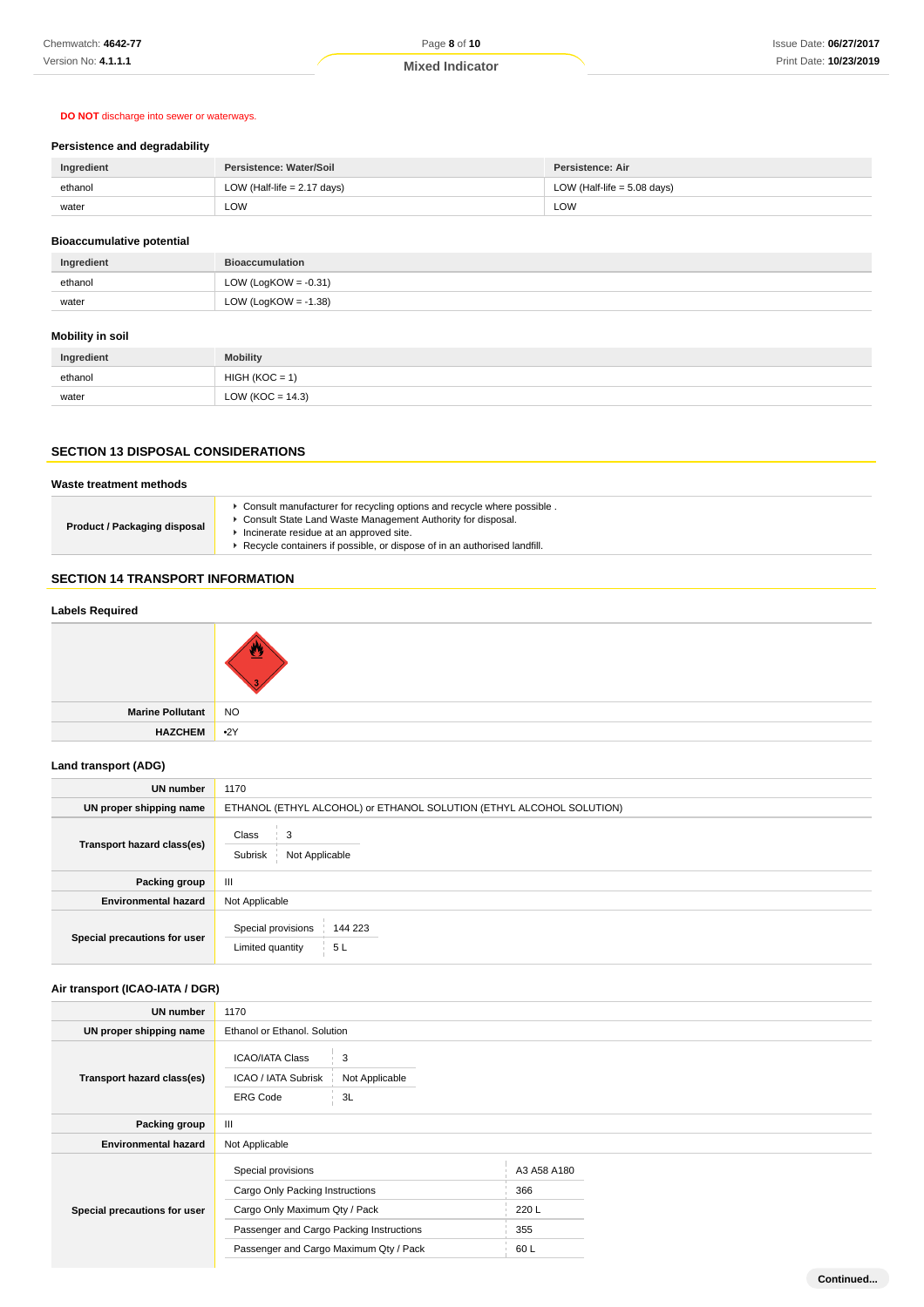## **DO NOT** discharge into sewer or waterways.

# **Persistence and degradability**

| Ingredient | Persistence: Water/Soil       | Persistence: Air              |  |
|------------|-------------------------------|-------------------------------|--|
| ethanol    | LOW (Half-life $= 2.17$ days) | LOW (Half-life $= 5.08$ days) |  |
| water      | LOW                           | LOW                           |  |

# **Bioaccumulative potential**

| Ingredient | <b>Bioaccumulation</b>  |
|------------|-------------------------|
| ethanol    | LOW (LogKOW = $-0.31$ ) |
| water      | LOW (LogKOW = $-1.38$ ) |

# **Mobility in soil**

| Ingredient | <b>Mobility</b>      |
|------------|----------------------|
| ethanol    | $HIGH (KOC = 1)$     |
| water      | LOW ( $KOC = 14.3$ ) |

# **SECTION 13 DISPOSAL CONSIDERATIONS**

## **Waste treatment methods**

| Consult State Land Waste Management Authority for disposal.<br><b>Product / Packaging disposal</b><br>Incinerate residue at an approved site.<br>Recycle containers if possible, or dispose of in an authorised landfill. |  | ▶ Consult manufacturer for recycling options and recycle where possible. |
|---------------------------------------------------------------------------------------------------------------------------------------------------------------------------------------------------------------------------|--|--------------------------------------------------------------------------|
|---------------------------------------------------------------------------------------------------------------------------------------------------------------------------------------------------------------------------|--|--------------------------------------------------------------------------|

## **SECTION 14 TRANSPORT INFORMATION**

#### **Labels Required**

| Marine Pollutant NO |  |
|---------------------|--|
| HAZCHEM 2Y          |  |

## **Land transport (ADG)**

| UN number                    | 1170                                                                 |  |  |
|------------------------------|----------------------------------------------------------------------|--|--|
| UN proper shipping name      | ETHANOL (ETHYL ALCOHOL) or ETHANOL SOLUTION (ETHYL ALCOHOL SOLUTION) |  |  |
| Transport hazard class(es)   | Class<br>Subrisk<br>Not Applicable                                   |  |  |
| Packing group                | Ш                                                                    |  |  |
| <b>Environmental hazard</b>  | Not Applicable                                                       |  |  |
| Special precautions for user | Special provisions<br>144 223<br>5L<br>Limited quantity              |  |  |

## **Air transport (ICAO-IATA / DGR)**

| UN number                    | 1170                                                                                                                               |                           |                                    |  |
|------------------------------|------------------------------------------------------------------------------------------------------------------------------------|---------------------------|------------------------------------|--|
| UN proper shipping name      | Ethanol or Ethanol. Solution                                                                                                       |                           |                                    |  |
| Transport hazard class(es)   | <b>ICAO/IATA Class</b><br>ICAO / IATA Subrisk<br><b>ERG Code</b>                                                                   | 3<br>Not Applicable<br>3L |                                    |  |
| Packing group                | $\mathbf{III}$                                                                                                                     |                           |                                    |  |
| <b>Environmental hazard</b>  | Not Applicable                                                                                                                     |                           |                                    |  |
| Special precautions for user | Special provisions<br>Cargo Only Packing Instructions<br>Cargo Only Maximum Qty / Pack<br>Passenger and Cargo Packing Instructions |                           | A3 A58 A180<br>366<br>220 L<br>355 |  |
|                              | Passenger and Cargo Maximum Qty / Pack                                                                                             |                           | 60L                                |  |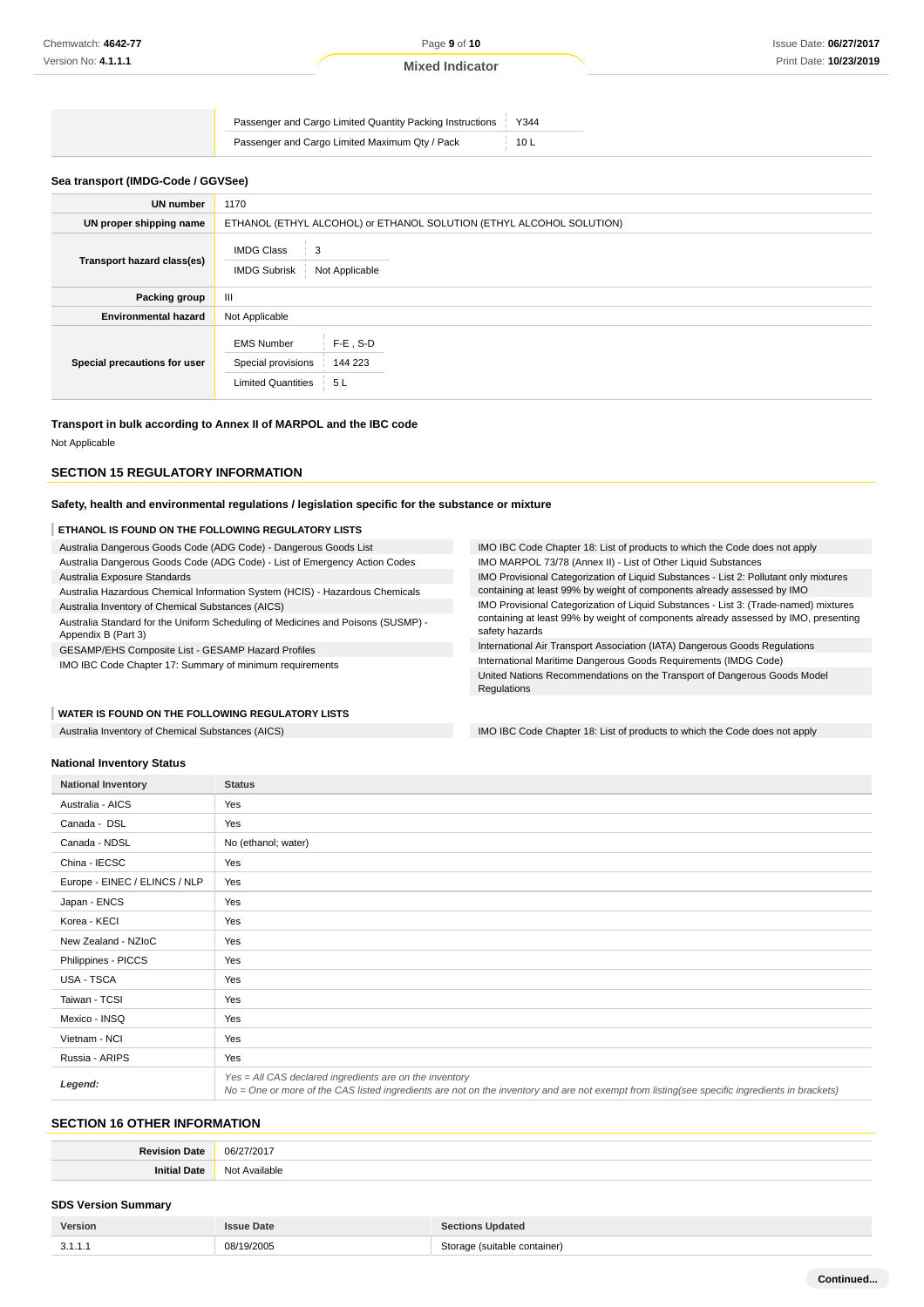| Passenger and Cargo Limited Quantity Packing Instructions   Y344 |                 |
|------------------------------------------------------------------|-----------------|
| Passenger and Cargo Limited Maximum Qty / Pack                   | 10 <sub>L</sub> |

#### **Sea transport (IMDG-Code / GGVSee)**

| <b>UN number</b>             | 1170                                                                                                  |  |  |
|------------------------------|-------------------------------------------------------------------------------------------------------|--|--|
| UN proper shipping name      | ETHANOL (ETHYL ALCOHOL) or ETHANOL SOLUTION (ETHYL ALCOHOL SOLUTION)                                  |  |  |
| Transport hazard class(es)   | <b>IMDG Class</b><br>3<br><b>IMDG Subrisk</b><br>Not Applicable                                       |  |  |
| Packing group                | Ш                                                                                                     |  |  |
| <b>Environmental hazard</b>  | Not Applicable                                                                                        |  |  |
| Special precautions for user | $F-E$ , S-D<br><b>EMS Number</b><br>Special provisions<br>144 223<br><b>Limited Quantities</b><br>5 L |  |  |

#### **Transport in bulk according to Annex II of MARPOL and the IBC code**

Not Applicable

## **SECTION 15 REGULATORY INFORMATION**

#### **Safety, health and environmental regulations / legislation specific for the substance or mixture**

#### **ETHANOL IS FOUND ON THE FOLLOWING REGULATORY LISTS**

Australia Dangerous Goods Code (ADG Code) - Dangerous Goods List Australia Dangerous Goods Code (ADG Code) - List of Emergency Action Codes

Australia Exposure Standards

Australia Hazardous Chemical Information System (HCIS) - Hazardous Chemicals

Australia Inventory of Chemical Substances (AICS)

Australia Standard for the Uniform Scheduling of Medicines and Poisons (SUSMP) - Appendix B (Part 3)

GESAMP/EHS Composite List - GESAMP Hazard Profiles

IMO IBC Code Chapter 17: Summary of minimum requirements

**WATER IS FOUND ON THE FOLLOWING REGULATORY LISTS**

IMO Provisional Categorization of Liquid Substances - List 3: (Trade-named) mixtures containing at least 99% by weight of components already assessed by IMO, presenting safety hazards International Air Transport Association (IATA) Dangerous Goods Regulations International Maritime Dangerous Goods Requirements (IMDG Code) United Nations Recommendations on the Transport of Dangerous Goods Model

IMO Provisional Categorization of Liquid Substances - List 2: Pollutant only mixtures containing at least 99% by weight of components already assessed by IMO

IMO IBC Code Chapter 18: List of products to which the Code does not apply

IMO MARPOL 73/78 (Annex II) - List of Other Liquid Substances

Australia Inventory of Chemical Substances (AICS) **IMO IBC Code Chapter 18: List of products to which the Code does not apply** 

#### **National Inventory Status**

| <b>National Inventory</b>     | <b>Status</b>                                                                                                                                                                                            |
|-------------------------------|----------------------------------------------------------------------------------------------------------------------------------------------------------------------------------------------------------|
| Australia - AICS              | Yes                                                                                                                                                                                                      |
| Canada - DSL                  | Yes                                                                                                                                                                                                      |
| Canada - NDSL                 | No (ethanol; water)                                                                                                                                                                                      |
| China - IECSC                 | Yes                                                                                                                                                                                                      |
| Europe - EINEC / ELINCS / NLP | Yes                                                                                                                                                                                                      |
| Japan - ENCS                  | Yes                                                                                                                                                                                                      |
| Korea - KECI                  | Yes                                                                                                                                                                                                      |
| New Zealand - NZIoC           | Yes                                                                                                                                                                                                      |
| Philippines - PICCS           | Yes                                                                                                                                                                                                      |
| <b>USA - TSCA</b>             | Yes                                                                                                                                                                                                      |
| Taiwan - TCSI                 | Yes                                                                                                                                                                                                      |
| Mexico - INSQ                 | Yes                                                                                                                                                                                                      |
| Vietnam - NCI                 | Yes                                                                                                                                                                                                      |
| Russia - ARIPS                | Yes                                                                                                                                                                                                      |
| Legend:                       | Yes = All CAS declared ingredients are on the inventory<br>No = One or more of the CAS listed ingredients are not on the inventory and are not exempt from listing(see specific ingredients in brackets) |

Regulations

#### **SECTION 16 OTHER INFORMATION**

| <br>ገፎ |
|--------|
|        |

#### **SDS Version Summary**

| Version | <b>Issue Date</b> | <b>Sections Updated</b>      |
|---------|-------------------|------------------------------|
| 3.1.1.1 | 08/19/2005        | Storage (suitable container) |